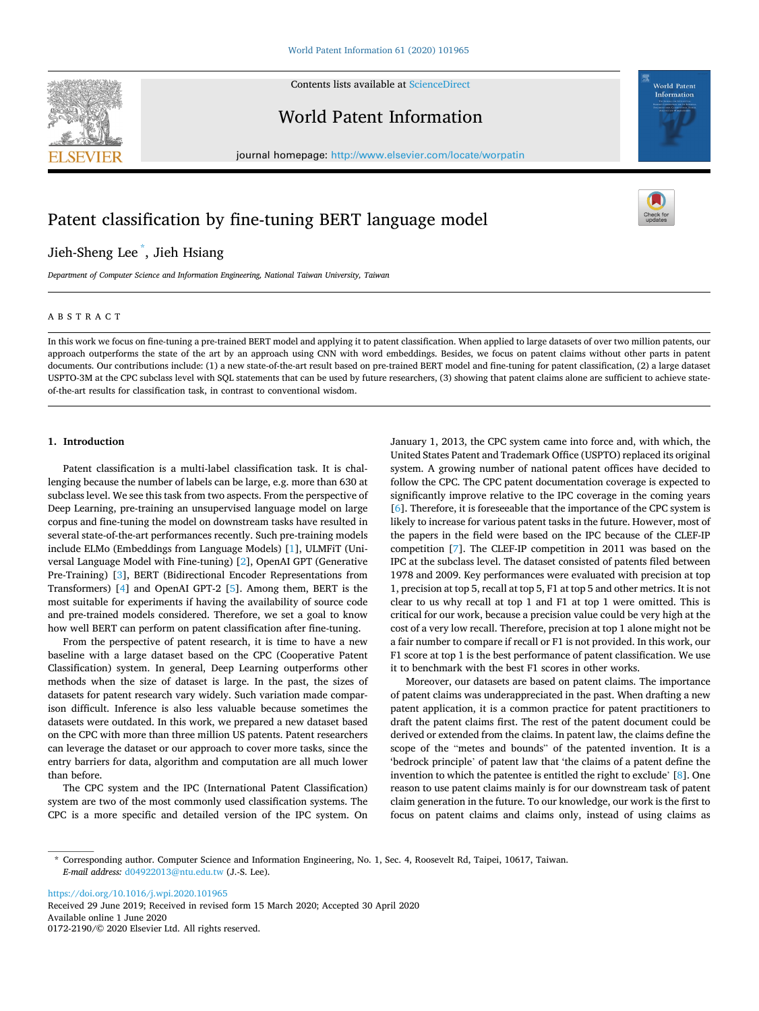



## World Patent Information

journal homepage: [http://www.elsevier.com/locate/worpatin](https://http://www.elsevier.com/locate/worpatin)

# Patent classification by fine-tuning BERT language model

Jieh-Sheng Lee \* , Jieh Hsiang

*Department of Computer Science and Information Engineering, National Taiwan University, Taiwan* 

## ABSTRACT

In this work we focus on fine-tuning a pre-trained BERT model and applying it to patent classification. When applied to large datasets of over two million patents, our approach outperforms the state of the art by an approach using CNN with word embeddings. Besides, we focus on patent claims without other parts in patent documents. Our contributions include: (1) a new state-of-the-art result based on pre-trained BERT model and fine-tuning for patent classification, (2) a large dataset USPTO-3M at the CPC subclass level with SQL statements that can be used by future researchers, (3) showing that patent claims alone are sufficient to achieve stateof-the-art results for classification task, in contrast to conventional wisdom.

## **1. Introduction**

Patent classification is a multi-label classification task. It is challenging because the number of labels can be large, e.g. more than 630 at subclass level. We see this task from two aspects. From the perspective of Deep Learning, pre-training an unsupervised language model on large corpus and fine-tuning the model on downstream tasks have resulted in several state-of-the-art performances recently. Such pre-training models include ELMo (Embeddings from Language Models) [\[1](#page-3-0)], ULMFiT (Universal Language Model with Fine-tuning) [[2](#page-3-0)], OpenAI GPT (Generative Pre-Training) [[3](#page-3-0)], BERT (Bidirectional Encoder Representations from Transformers) [[4](#page-3-0)] and OpenAI GPT-2 [\[5\]](#page-3-0). Among them, BERT is the most suitable for experiments if having the availability of source code and pre-trained models considered. Therefore, we set a goal to know how well BERT can perform on patent classification after fine-tuning.

From the perspective of patent research, it is time to have a new baseline with a large dataset based on the CPC (Cooperative Patent Classification) system. In general, Deep Learning outperforms other methods when the size of dataset is large. In the past, the sizes of datasets for patent research vary widely. Such variation made comparison difficult. Inference is also less valuable because sometimes the datasets were outdated. In this work, we prepared a new dataset based on the CPC with more than three million US patents. Patent researchers can leverage the dataset or our approach to cover more tasks, since the entry barriers for data, algorithm and computation are all much lower than before.

The CPC system and the IPC (International Patent Classification) system are two of the most commonly used classification systems. The CPC is a more specific and detailed version of the IPC system. On

January 1, 2013, the CPC system came into force and, with which, the United States Patent and Trademark Office (USPTO) replaced its original system. A growing number of national patent offices have decided to follow the CPC. The CPC patent documentation coverage is expected to significantly improve relative to the IPC coverage in the coming years [[6](#page-3-0)]. Therefore, it is foreseeable that the importance of the CPC system is likely to increase for various patent tasks in the future. However, most of the papers in the field were based on the IPC because of the CLEF-IP competition [[7](#page-3-0)]. The CLEF-IP competition in 2011 was based on the IPC at the subclass level. The dataset consisted of patents filed between 1978 and 2009. Key performances were evaluated with precision at top 1, precision at top 5, recall at top 5, F1 at top 5 and other metrics. It is not clear to us why recall at top 1 and F1 at top 1 were omitted. This is critical for our work, because a precision value could be very high at the cost of a very low recall. Therefore, precision at top 1 alone might not be a fair number to compare if recall or F1 is not provided. In this work, our F1 score at top 1 is the best performance of patent classification. We use it to benchmark with the best F1 scores in other works.

Moreover, our datasets are based on patent claims. The importance of patent claims was underappreciated in the past. When drafting a new patent application, it is a common practice for patent practitioners to draft the patent claims first. The rest of the patent document could be derived or extended from the claims. In patent law, the claims define the scope of the "metes and bounds" of the patented invention. It is a 'bedrock principle' of patent law that 'the claims of a patent define the invention to which the patentee is entitled the right to exclude' [\[8\]](#page-3-0). One reason to use patent claims mainly is for our downstream task of patent claim generation in the future. To our knowledge, our work is the first to focus on patent claims and claims only, instead of using claims as

<https://doi.org/10.1016/j.wpi.2020.101965>

Available online 1 June 2020 0172-2190/© 2020 Elsevier Ltd. All rights reserved. Received 29 June 2019; Received in revised form 15 March 2020; Accepted 30 April 2020





<sup>\*</sup> Corresponding author. Computer Science and Information Engineering, No. 1, Sec. 4, Roosevelt Rd, Taipei, 10617, Taiwan. *E-mail address:* [d04922013@ntu.edu.tw](mailto:d04922013@ntu.edu.tw) (J.-S. Lee).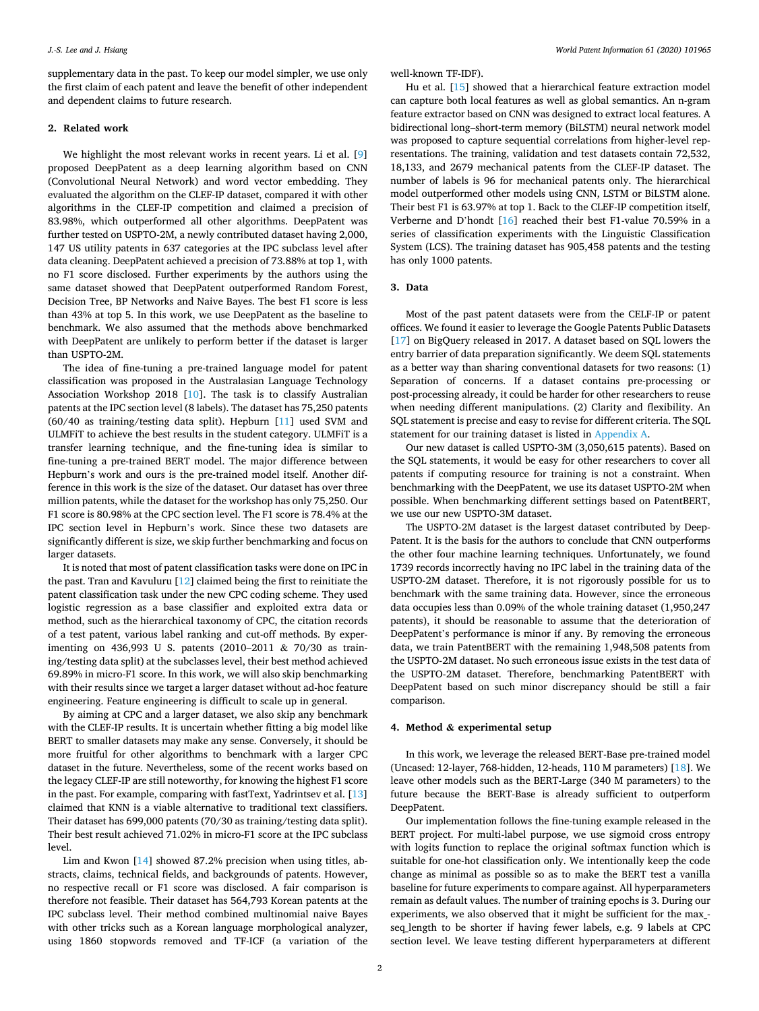supplementary data in the past. To keep our model simpler, we use only the first claim of each patent and leave the benefit of other independent and dependent claims to future research.

## **2. Related work**

We highlight the most relevant works in recent years. Li et al. [[9](#page-3-0)] proposed DeepPatent as a deep learning algorithm based on CNN (Convolutional Neural Network) and word vector embedding. They evaluated the algorithm on the CLEF-IP dataset, compared it with other algorithms in the CLEF-IP competition and claimed a precision of 83.98%, which outperformed all other algorithms. DeepPatent was further tested on USPTO-2M, a newly contributed dataset having 2,000, 147 US utility patents in 637 categories at the IPC subclass level after data cleaning. DeepPatent achieved a precision of 73.88% at top 1, with no F1 score disclosed. Further experiments by the authors using the same dataset showed that DeepPatent outperformed Random Forest, Decision Tree, BP Networks and Naive Bayes. The best F1 score is less than 43% at top 5. In this work, we use DeepPatent as the baseline to benchmark. We also assumed that the methods above benchmarked with DeepPatent are unlikely to perform better if the dataset is larger than USPTO-2M.

The idea of fine-tuning a pre-trained language model for patent classification was proposed in the Australasian Language Technology Association Workshop 2018 [\[10](#page-3-0)]. The task is to classify Australian patents at the IPC section level (8 labels). The dataset has 75,250 patents (60/40 as training/testing data split). Hepburn [[11\]](#page-3-0) used SVM and ULMFiT to achieve the best results in the student category. ULMFiT is a transfer learning technique, and the fine-tuning idea is similar to fine-tuning a pre-trained BERT model. The major difference between Hepburn's work and ours is the pre-trained model itself. Another difference in this work is the size of the dataset. Our dataset has over three million patents, while the dataset for the workshop has only 75,250. Our F1 score is 80.98% at the CPC section level. The F1 score is 78.4% at the IPC section level in Hepburn's work. Since these two datasets are significantly different is size, we skip further benchmarking and focus on larger datasets.

It is noted that most of patent classification tasks were done on IPC in the past. Tran and Kavuluru [\[12](#page-3-0)] claimed being the first to reinitiate the patent classification task under the new CPC coding scheme. They used logistic regression as a base classifier and exploited extra data or method, such as the hierarchical taxonomy of CPC, the citation records of a test patent, various label ranking and cut-off methods. By experimenting on 436,993 U S. patents (2010–2011 & 70/30 as training/testing data split) at the subclasses level, their best method achieved 69.89% in micro-F1 score. In this work, we will also skip benchmarking with their results since we target a larger dataset without ad-hoc feature engineering. Feature engineering is difficult to scale up in general.

By aiming at CPC and a larger dataset, we also skip any benchmark with the CLEF-IP results. It is uncertain whether fitting a big model like BERT to smaller datasets may make any sense. Conversely, it should be more fruitful for other algorithms to benchmark with a larger CPC dataset in the future. Nevertheless, some of the recent works based on the legacy CLEF-IP are still noteworthy, for knowing the highest F1 score in the past. For example, comparing with fastText, Yadrintsev et al. [\[13](#page-3-0)] claimed that KNN is a viable alternative to traditional text classifiers. Their dataset has 699,000 patents (70/30 as training/testing data split). Their best result achieved 71.02% in micro-F1 score at the IPC subclass level.

Lim and Kwon [[14\]](#page-3-0) showed 87.2% precision when using titles, abstracts, claims, technical fields, and backgrounds of patents. However, no respective recall or F1 score was disclosed. A fair comparison is therefore not feasible. Their dataset has 564,793 Korean patents at the IPC subclass level. Their method combined multinomial naive Bayes with other tricks such as a Korean language morphological analyzer, using 1860 stopwords removed and TF-ICF (a variation of the

well-known TF-IDF).

Hu et al. [\[15](#page-3-0)] showed that a hierarchical feature extraction model can capture both local features as well as global semantics. An n-gram feature extractor based on CNN was designed to extract local features. A bidirectional long–short-term memory (BiLSTM) neural network model was proposed to capture sequential correlations from higher-level representations. The training, validation and test datasets contain 72,532, 18,133, and 2679 mechanical patents from the CLEF-IP dataset. The number of labels is 96 for mechanical patents only. The hierarchical model outperformed other models using CNN, LSTM or BiLSTM alone. Their best F1 is 63.97% at top 1. Back to the CLEF-IP competition itself, Verberne and D'hondt [\[16](#page-3-0)] reached their best F1-value 70.59% in a series of classification experiments with the Linguistic Classification System (LCS). The training dataset has 905,458 patents and the testing has only 1000 patents.

#### **3. Data**

Most of the past patent datasets were from the CELF-IP or patent offices. We found it easier to leverage the Google Patents Public Datasets [[17\]](#page-3-0) on BigQuery released in 2017. A dataset based on SQL lowers the entry barrier of data preparation significantly. We deem SQL statements as a better way than sharing conventional datasets for two reasons: (1) Separation of concerns. If a dataset contains pre-processing or post-processing already, it could be harder for other researchers to reuse when needing different manipulations. (2) Clarity and flexibility. An SQL statement is precise and easy to revise for different criteria. The SQL statement for our training dataset is listed in Appendix A.

Our new dataset is called USPTO-3M (3,050,615 patents). Based on the SQL statements, it would be easy for other researchers to cover all patents if computing resource for training is not a constraint. When benchmarking with the DeepPatent, we use its dataset USPTO-2M when possible. When benchmarking different settings based on PatentBERT, we use our new USPTO-3M dataset.

The USPTO-2M dataset is the largest dataset contributed by Deep-Patent. It is the basis for the authors to conclude that CNN outperforms the other four machine learning techniques. Unfortunately, we found 1739 records incorrectly having no IPC label in the training data of the USPTO-2M dataset. Therefore, it is not rigorously possible for us to benchmark with the same training data. However, since the erroneous data occupies less than 0.09% of the whole training dataset (1,950,247 patents), it should be reasonable to assume that the deterioration of DeepPatent's performance is minor if any. By removing the erroneous data, we train PatentBERT with the remaining 1,948,508 patents from the USPTO-2M dataset. No such erroneous issue exists in the test data of the USPTO-2M dataset. Therefore, benchmarking PatentBERT with DeepPatent based on such minor discrepancy should be still a fair comparison.

#### **4. Method & experimental setup**

In this work, we leverage the released BERT-Base pre-trained model (Uncased: 12-layer, 768-hidden, 12-heads, 110 M parameters) [[18\]](#page-3-0). We leave other models such as the BERT-Large (340 M parameters) to the future because the BERT-Base is already sufficient to outperform DeepPatent.

Our implementation follows the fine-tuning example released in the BERT project. For multi-label purpose, we use sigmoid cross entropy with logits function to replace the original softmax function which is suitable for one-hot classification only. We intentionally keep the code change as minimal as possible so as to make the BERT test a vanilla baseline for future experiments to compare against. All hyperparameters remain as default values. The number of training epochs is 3. During our experiments, we also observed that it might be sufficient for the max\_seq\_length to be shorter if having fewer labels, e.g. 9 labels at CPC section level. We leave testing different hyperparameters at different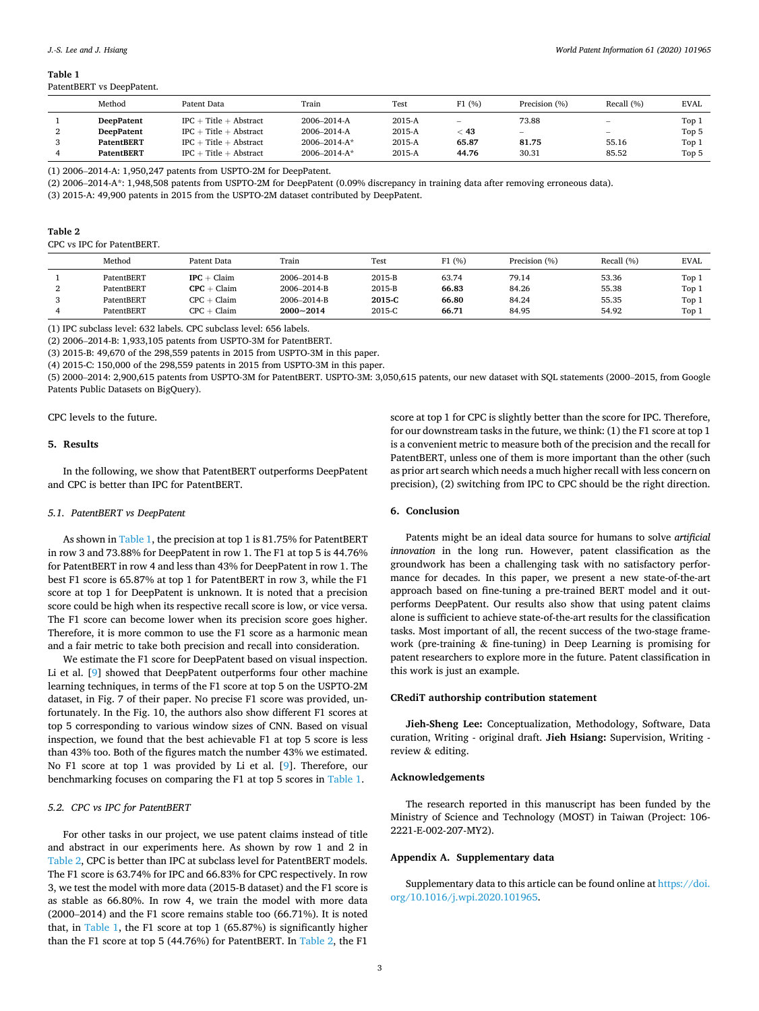| Method            | Patent Data              | Train               | <b>Test</b> | F1(%)           | Precision (%)            | Recall (%)               | <b>EVAL</b> |
|-------------------|--------------------------|---------------------|-------------|-----------------|--------------------------|--------------------------|-------------|
| <b>DeepPatent</b> | $IPC + Title + Abstract$ | 2006-2014-A         | $2015-A$    | $\qquad \qquad$ | 73.88                    | $\overline{\phantom{0}}$ | Top 1       |
| <b>DeepPatent</b> | $IPC + Title + Abstract$ | 2006-2014-A         | $2015-A$    | 43              | $\overline{\phantom{a}}$ | $\hspace{0.05cm}$        | Top 5       |
| <b>PatentBERT</b> | $IPC + Title + Abstract$ | $2006 - 2014 - A^*$ | $2015-A$    | 65.87           | 81.75                    | 55.16                    | Top 1       |
| <b>PatentBERT</b> | $IPC + Title + Abstract$ | $2006 - 2014 - A*$  | $2015-A$    | 44.76           | 30.31                    | 85.52                    | Top 5       |

(1) 2006–2014-A: 1,950,247 patents from USPTO-2M for DeepPatent.

(2) 2006–2014-A\*: 1,948,508 patents from USPTO-2M for DeepPatent (0.09% discrepancy in training data after removing erroneous data).

(3) 2015-A: 49,900 patents in 2015 from the USPTO-2M dataset contributed by DeepPatent.

| Table 2                    |
|----------------------------|
| CPC vs IPC for PatentBERT. |

| Method     | Patent Data       | Train       | Test   | (96)  | Precision (%) | Recall (%) | <b>EVAL</b> |
|------------|-------------------|-------------|--------|-------|---------------|------------|-------------|
| PatentBERT | Claim<br>IPC      | 2006-2014-B | 2015-B | 63.74 | 79.14         | 53.36      | Top 1       |
| PatentBERT | $+$ Claim<br>∷PC  | 2006-2014-B | 2015-B | 66.83 | 84.26         | 55.38      | Top 1       |
| PatentBERT | Claim<br>CPC<br>- | 2006-2014-B | 2015-C | 66.80 | 84.24         | 55.35      | Top 1       |

(1) IPC subclass level: 632 labels. CPC subclass level: 656 labels.

(2) 2006–2014-B: 1,933,105 patents from USPTO-3M for PatentBERT.

(3) 2015-B: 49,670 of the 298,559 patents in 2015 from USPTO-3M in this paper.

(4) 2015-C: 150,000 of the 298,559 patents in 2015 from USPTO-3M in this paper.

(5) 2000–2014: 2,900,615 patents from USPTO-3M for PatentBERT. USPTO-3M: 3,050,615 patents, our new dataset with SQL statements (2000–2015, from Google Patents Public Datasets on BigQuery).

4 PatentBERT CPC þ Claim **2000~2014** 2015-C **66.71** 84.95 54.92 Top 1

CPC levels to the future.

## **5. Results**

In the following, we show that PatentBERT outperforms DeepPatent and CPC is better than IPC for PatentBERT.

## *5.1. PatentBERT vs DeepPatent*

As shown in Table 1, the precision at top 1 is 81.75% for PatentBERT in row 3 and 73.88% for DeepPatent in row 1. The F1 at top 5 is 44.76% for PatentBERT in row 4 and less than 43% for DeepPatent in row 1. The best F1 score is 65.87% at top 1 for PatentBERT in row 3, while the F1 score at top 1 for DeepPatent is unknown. It is noted that a precision score could be high when its respective recall score is low, or vice versa. The F1 score can become lower when its precision score goes higher. Therefore, it is more common to use the F1 score as a harmonic mean and a fair metric to take both precision and recall into consideration.

We estimate the F1 score for DeepPatent based on visual inspection. Li et al. [\[9\]](#page-3-0) showed that DeepPatent outperforms four other machine learning techniques, in terms of the F1 score at top 5 on the USPTO-2M dataset, in Fig. 7 of their paper. No precise F1 score was provided, unfortunately. In the Fig. 10, the authors also show different F1 scores at top 5 corresponding to various window sizes of CNN. Based on visual inspection, we found that the best achievable F1 at top 5 score is less than 43% too. Both of the figures match the number 43% we estimated. No F1 score at top 1 was provided by Li et al. [\[9\]](#page-3-0). Therefore, our benchmarking focuses on comparing the F1 at top 5 scores in Table 1.

## *5.2. CPC vs IPC for PatentBERT*

For other tasks in our project, we use patent claims instead of title and abstract in our experiments here. As shown by row 1 and 2 in Table 2, CPC is better than IPC at subclass level for PatentBERT models. The F1 score is 63.74% for IPC and 66.83% for CPC respectively. In row 3, we test the model with more data (2015-B dataset) and the F1 score is as stable as 66.80%. In row 4, we train the model with more data (2000–2014) and the F1 score remains stable too (66.71%). It is noted that, in Table 1, the F1 score at top 1 (65.87%) is significantly higher than the F1 score at top 5 (44.76%) for PatentBERT. In Table 2, the F1

score at top 1 for CPC is slightly better than the score for IPC. Therefore, for our downstream tasks in the future, we think: (1) the F1 score at top 1 is a convenient metric to measure both of the precision and the recall for PatentBERT, unless one of them is more important than the other (such as prior art search which needs a much higher recall with less concern on precision), (2) switching from IPC to CPC should be the right direction.

#### **6. Conclusion**

Patents might be an ideal data source for humans to solve *artificial innovation* in the long run. However, patent classification as the groundwork has been a challenging task with no satisfactory performance for decades. In this paper, we present a new state-of-the-art approach based on fine-tuning a pre-trained BERT model and it outperforms DeepPatent. Our results also show that using patent claims alone is sufficient to achieve state-of-the-art results for the classification tasks. Most important of all, the recent success of the two-stage framework (pre-training & fine-tuning) in Deep Learning is promising for patent researchers to explore more in the future. Patent classification in this work is just an example.

## **CRediT authorship contribution statement**

**Jieh-Sheng Lee:** Conceptualization, Methodology, Software, Data curation, Writing - original draft. **Jieh Hsiang:** Supervision, Writing review & editing.

#### **Acknowledgements**

The research reported in this manuscript has been funded by the Ministry of Science and Technology (MOST) in Taiwan (Project: 106- 2221-E-002-207-MY2).

## **Appendix A. Supplementary data**

Supplementary data to this article can be found online at [https://doi.](https://doi.org/10.1016/j.wpi.2020.101965)  [org/10.1016/j.wpi.2020.101965](https://doi.org/10.1016/j.wpi.2020.101965).